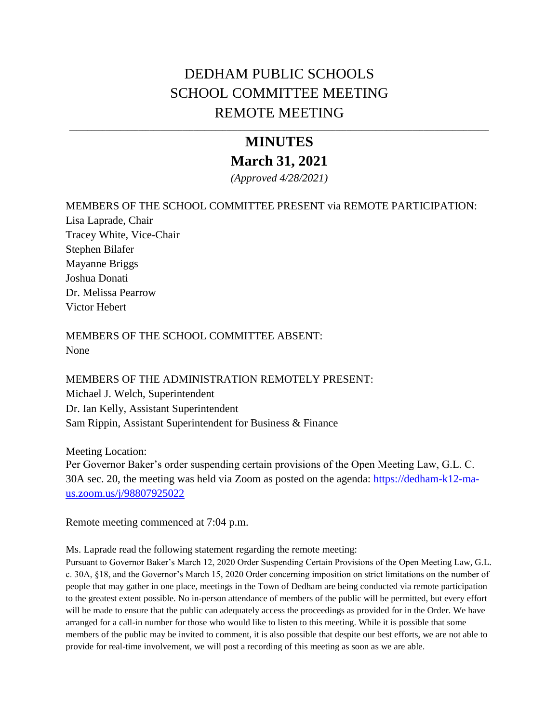# DEDHAM PUBLIC SCHOOLS SCHOOL COMMITTEE MEETING REMOTE MEETING

# **MINUTES March 31, 2021**

\_\_\_\_\_\_\_\_\_\_\_\_\_\_\_\_\_\_\_\_\_\_\_\_\_\_\_\_\_\_\_\_\_\_\_\_\_\_\_\_\_\_\_\_\_\_\_\_\_\_\_\_\_\_\_\_\_\_\_\_\_\_\_\_\_\_\_\_\_\_\_\_\_\_\_\_\_\_\_\_\_\_\_\_\_\_\_\_\_\_\_\_\_\_\_\_\_\_\_\_\_\_\_\_\_\_\_\_\_\_\_\_\_\_\_

*(Approved 4/28/2021)*

### MEMBERS OF THE SCHOOL COMMITTEE PRESENT via REMOTE PARTICIPATION:

Lisa Laprade, Chair Tracey White, Vice-Chair Stephen Bilafer Mayanne Briggs Joshua Donati Dr. Melissa Pearrow Victor Hebert

MEMBERS OF THE SCHOOL COMMITTEE ABSENT: None

MEMBERS OF THE ADMINISTRATION REMOTELY PRESENT: Michael J. Welch, Superintendent Dr. Ian Kelly, Assistant Superintendent Sam Rippin, Assistant Superintendent for Business & Finance

Meeting Location: Per Governor Baker's order suspending certain provisions of the Open Meeting Law, G.L. C. 30A sec. 20, the meeting was held via Zoom as posted on the agenda: [https://dedham-k12-ma](https://dedham-k12-ma-us.zoom.us/j/98807925022)[us.zoom.us/j/98807925022](https://dedham-k12-ma-us.zoom.us/j/98807925022) 

Remote meeting commenced at 7:04 p.m.

Ms. Laprade read the following statement regarding the remote meeting:

Pursuant to Governor Baker's March 12, 2020 Order Suspending Certain Provisions of the Open Meeting Law, G.L. c. 30A, §18, and the Governor's March 15, 2020 Order concerning imposition on strict limitations on the number of people that may gather in one place, meetings in the Town of Dedham are being conducted via remote participation to the greatest extent possible. No in-person attendance of members of the public will be permitted, but every effort will be made to ensure that the public can adequately access the proceedings as provided for in the Order. We have arranged for a call-in number for those who would like to listen to this meeting. While it is possible that some members of the public may be invited to comment, it is also possible that despite our best efforts, we are not able to provide for real-time involvement, we will post a recording of this meeting as soon as we are able.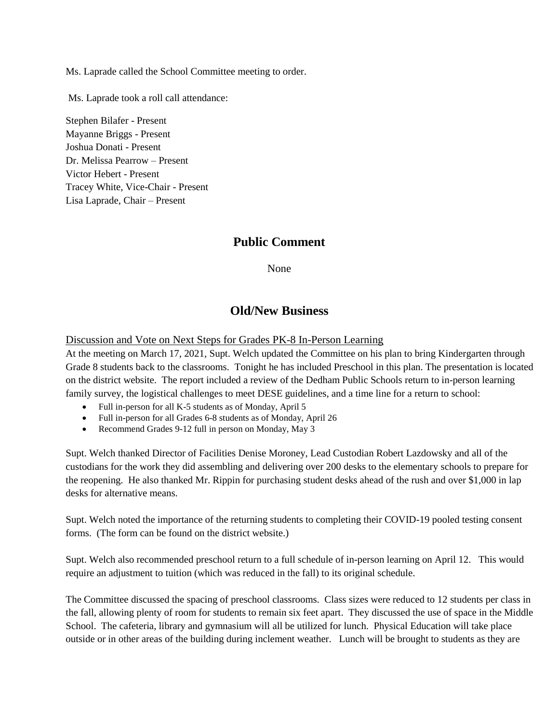Ms. Laprade called the School Committee meeting to order.

Ms. Laprade took a roll call attendance:

Stephen Bilafer - Present Mayanne Briggs - Present Joshua Donati - Present Dr. Melissa Pearrow – Present Victor Hebert - Present Tracey White, Vice-Chair - Present Lisa Laprade, Chair – Present

### **Public Comment**

None

### **Old/New Business**

Discussion and Vote on Next Steps for Grades PK-8 In-Person Learning

At the meeting on March 17, 2021, Supt. Welch updated the Committee on his plan to bring Kindergarten through Grade 8 students back to the classrooms. Tonight he has included Preschool in this plan. The presentation is located on the district website. The report included a review of the Dedham Public Schools return to in-person learning family survey, the logistical challenges to meet DESE guidelines, and a time line for a return to school:

- Full in-person for all K-5 students as of Monday, April 5
- Full in-person for all Grades 6-8 students as of Monday, April 26
- Recommend Grades 9-12 full in person on Monday, May 3

Supt. Welch thanked Director of Facilities Denise Moroney, Lead Custodian Robert Lazdowsky and all of the custodians for the work they did assembling and delivering over 200 desks to the elementary schools to prepare for the reopening. He also thanked Mr. Rippin for purchasing student desks ahead of the rush and over \$1,000 in lap desks for alternative means.

Supt. Welch noted the importance of the returning students to completing their COVID-19 pooled testing consent forms. (The form can be found on the district website.)

Supt. Welch also recommended preschool return to a full schedule of in-person learning on April 12. This would require an adjustment to tuition (which was reduced in the fall) to its original schedule.

The Committee discussed the spacing of preschool classrooms. Class sizes were reduced to 12 students per class in the fall, allowing plenty of room for students to remain six feet apart. They discussed the use of space in the Middle School. The cafeteria, library and gymnasium will all be utilized for lunch. Physical Education will take place outside or in other areas of the building during inclement weather. Lunch will be brought to students as they are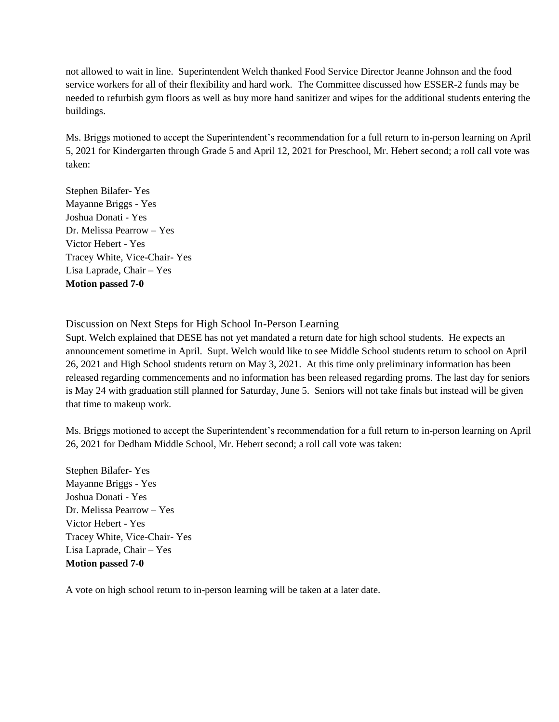not allowed to wait in line. Superintendent Welch thanked Food Service Director Jeanne Johnson and the food service workers for all of their flexibility and hard work. The Committee discussed how ESSER-2 funds may be needed to refurbish gym floors as well as buy more hand sanitizer and wipes for the additional students entering the buildings.

Ms. Briggs motioned to accept the Superintendent's recommendation for a full return to in-person learning on April 5, 2021 for Kindergarten through Grade 5 and April 12, 2021 for Preschool, Mr. Hebert second; a roll call vote was taken:

Stephen Bilafer- Yes Mayanne Briggs - Yes Joshua Donati - Yes Dr. Melissa Pearrow – Yes Victor Hebert - Yes Tracey White, Vice-Chair- Yes Lisa Laprade, Chair – Yes **Motion passed 7-0**

### Discussion on Next Steps for High School In-Person Learning

Supt. Welch explained that DESE has not yet mandated a return date for high school students. He expects an announcement sometime in April. Supt. Welch would like to see Middle School students return to school on April 26, 2021 and High School students return on May 3, 2021. At this time only preliminary information has been released regarding commencements and no information has been released regarding proms. The last day for seniors is May 24 with graduation still planned for Saturday, June 5. Seniors will not take finals but instead will be given that time to makeup work.

Ms. Briggs motioned to accept the Superintendent's recommendation for a full return to in-person learning on April 26, 2021 for Dedham Middle School, Mr. Hebert second; a roll call vote was taken:

Stephen Bilafer- Yes Mayanne Briggs - Yes Joshua Donati - Yes Dr. Melissa Pearrow – Yes Victor Hebert - Yes Tracey White, Vice-Chair- Yes Lisa Laprade, Chair – Yes **Motion passed 7-0**

A vote on high school return to in-person learning will be taken at a later date.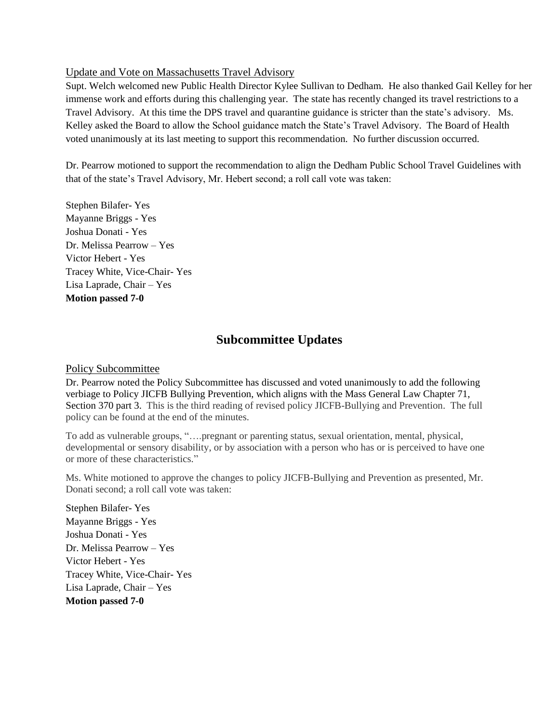### Update and Vote on Massachusetts Travel Advisory

Supt. Welch welcomed new Public Health Director Kylee Sullivan to Dedham. He also thanked Gail Kelley for her immense work and efforts during this challenging year. The state has recently changed its travel restrictions to a Travel Advisory. At this time the DPS travel and quarantine guidance is stricter than the state's advisory. Ms. Kelley asked the Board to allow the School guidance match the State's Travel Advisory. The Board of Health voted unanimously at its last meeting to support this recommendation. No further discussion occurred.

Dr. Pearrow motioned to support the recommendation to align the Dedham Public School Travel Guidelines with that of the state's Travel Advisory, Mr. Hebert second; a roll call vote was taken:

Stephen Bilafer- Yes Mayanne Briggs - Yes Joshua Donati - Yes Dr. Melissa Pearrow – Yes Victor Hebert - Yes Tracey White, Vice-Chair- Yes Lisa Laprade, Chair – Yes **Motion passed 7-0**

## **Subcommittee Updates**

### Policy Subcommittee

Dr. Pearrow noted the Policy Subcommittee has discussed and voted unanimously to add the following verbiage to Policy JICFB Bullying Prevention, which aligns with the Mass General Law Chapter 71, Section 370 part 3. This is the third reading of revised policy JICFB-Bullying and Prevention. The full policy can be found at the end of the minutes.

To add as vulnerable groups, "….pregnant or parenting status, sexual orientation, mental, physical, developmental or sensory disability, or by association with a person who has or is perceived to have one or more of these characteristics."

Ms. White motioned to approve the changes to policy JICFB-Bullying and Prevention as presented, Mr. Donati second; a roll call vote was taken:

Stephen Bilafer- Yes Mayanne Briggs - Yes Joshua Donati - Yes Dr. Melissa Pearrow – Yes Victor Hebert - Yes Tracey White, Vice-Chair- Yes Lisa Laprade, Chair – Yes **Motion passed 7-0**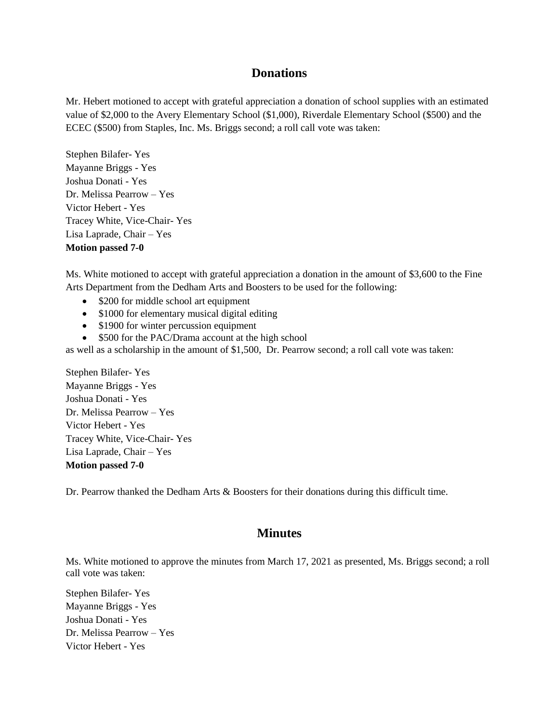### **Donations**

Mr. Hebert motioned to accept with grateful appreciation a donation of school supplies with an estimated value of \$2,000 to the Avery Elementary School (\$1,000), Riverdale Elementary School (\$500) and the ECEC (\$500) from Staples, Inc. Ms. Briggs second; a roll call vote was taken:

Stephen Bilafer- Yes Mayanne Briggs - Yes Joshua Donati - Yes Dr. Melissa Pearrow – Yes Victor Hebert - Yes Tracey White, Vice-Chair- Yes Lisa Laprade, Chair – Yes **Motion passed 7-0**

Ms. White motioned to accept with grateful appreciation a donation in the amount of \$3,600 to the Fine Arts Department from the Dedham Arts and Boosters to be used for the following:

- \$200 for middle school art equipment
- \$1000 for elementary musical digital editing
- \$1900 for winter percussion equipment
- \$500 for the PAC/Drama account at the high school

as well as a scholarship in the amount of \$1,500, Dr. Pearrow second; a roll call vote was taken:

Stephen Bilafer- Yes Mayanne Briggs - Yes Joshua Donati - Yes Dr. Melissa Pearrow – Yes Victor Hebert - Yes Tracey White, Vice-Chair- Yes Lisa Laprade, Chair – Yes **Motion passed 7-0**

Dr. Pearrow thanked the Dedham Arts & Boosters for their donations during this difficult time.

### **Minutes**

Ms. White motioned to approve the minutes from March 17, 2021 as presented, Ms. Briggs second; a roll call vote was taken:

Stephen Bilafer- Yes Mayanne Briggs - Yes Joshua Donati - Yes Dr. Melissa Pearrow – Yes Victor Hebert - Yes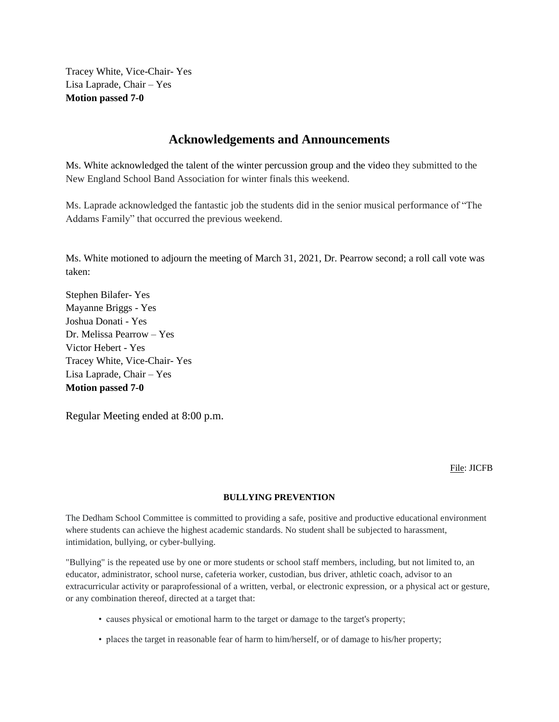Tracey White, Vice-Chair- Yes Lisa Laprade, Chair – Yes **Motion passed 7-0**

### **Acknowledgements and Announcements**

Ms. White acknowledged the talent of the winter percussion group and the video they submitted to the New England School Band Association for winter finals this weekend.

Ms. Laprade acknowledged the fantastic job the students did in the senior musical performance of "The Addams Family" that occurred the previous weekend.

Ms. White motioned to adjourn the meeting of March 31, 2021, Dr. Pearrow second; a roll call vote was taken:

Stephen Bilafer- Yes Mayanne Briggs - Yes Joshua Donati - Yes Dr. Melissa Pearrow – Yes Victor Hebert - Yes Tracey White, Vice-Chair- Yes Lisa Laprade, Chair – Yes **Motion passed 7-0**

Regular Meeting ended at 8:00 p.m.

File: JICFB

#### **BULLYING PREVENTION**

The Dedham School Committee is committed to providing a safe, positive and productive educational environment where students can achieve the highest academic standards. No student shall be subjected to harassment, intimidation, bullying, or cyber-bullying.

"Bullying" is the repeated use by one or more students or school staff members, including, but not limited to, an educator, administrator, school nurse, cafeteria worker, custodian, bus driver, athletic coach, advisor to an extracurricular activity or paraprofessional of a written, verbal, or electronic expression, or a physical act or gesture, or any combination thereof, directed at a target that:

- causes physical or emotional harm to the target or damage to the target's property;
- places the target in reasonable fear of harm to him/herself, or of damage to his/her property;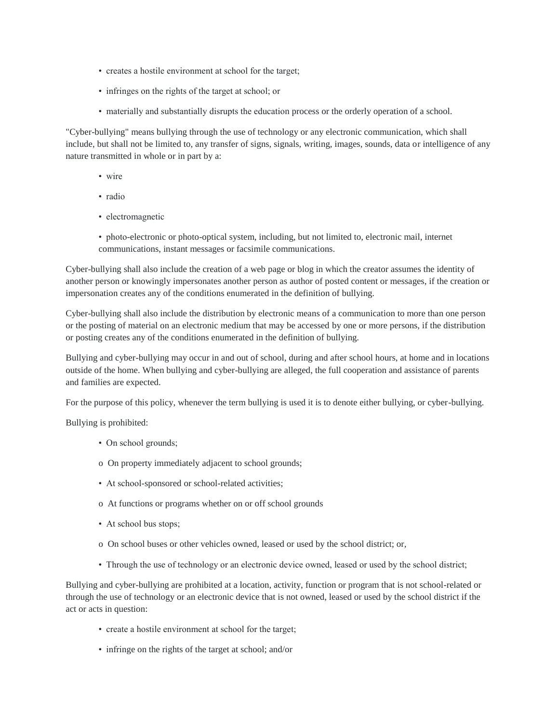- creates a hostile environment at school for the target;
- infringes on the rights of the target at school; or
- materially and substantially disrupts the education process or the orderly operation of a school.

"Cyber-bullying" means bullying through the use of technology or any electronic communication, which shall include, but shall not be limited to, any transfer of signs, signals, writing, images, sounds, data or intelligence of any nature transmitted in whole or in part by a:

- wire
- radio
- electromagnetic
- photo-electronic or photo-optical system, including, but not limited to, electronic mail, internet communications, instant messages or facsimile communications.

Cyber-bullying shall also include the creation of a web page or blog in which the creator assumes the identity of another person or knowingly impersonates another person as author of posted content or messages, if the creation or impersonation creates any of the conditions enumerated in the definition of bullying.

Cyber-bullying shall also include the distribution by electronic means of a communication to more than one person or the posting of material on an electronic medium that may be accessed by one or more persons, if the distribution or posting creates any of the conditions enumerated in the definition of bullying.

Bullying and cyber-bullying may occur in and out of school, during and after school hours, at home and in locations outside of the home. When bullying and cyber-bullying are alleged, the full cooperation and assistance of parents and families are expected.

For the purpose of this policy, whenever the term bullying is used it is to denote either bullying, or cyber-bullying.

Bullying is prohibited:

- On school grounds;
- o On property immediately adjacent to school grounds;
- At school-sponsored or school-related activities;
- o At functions or programs whether on or off school grounds
- At school bus stops;
- o On school buses or other vehicles owned, leased or used by the school district; or,
- Through the use of technology or an electronic device owned, leased or used by the school district;

Bullying and cyber-bullying are prohibited at a location, activity, function or program that is not school-related or through the use of technology or an electronic device that is not owned, leased or used by the school district if the act or acts in question:

- create a hostile environment at school for the target;
- infringe on the rights of the target at school; and/or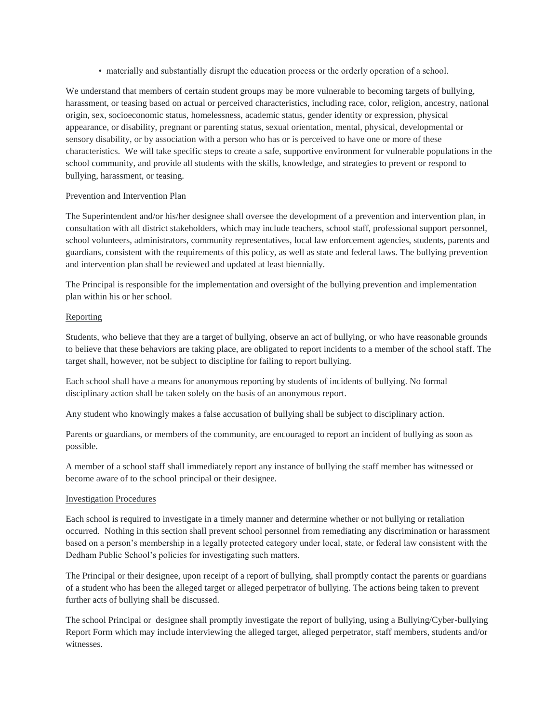• materially and substantially disrupt the education process or the orderly operation of a school.

We understand that members of certain student groups may be more vulnerable to becoming targets of bullying, harassment, or teasing based on actual or perceived characteristics, including race, color, religion, ancestry, national origin, sex, socioeconomic status, homelessness, academic status, gender identity or expression, physical appearance, or disability, pregnant or parenting status, sexual orientation, mental, physical, developmental or sensory disability, or by association with a person who has or is perceived to have one or more of these characteristics. We will take specific steps to create a safe, supportive environment for vulnerable populations in the school community, and provide all students with the skills, knowledge, and strategies to prevent or respond to bullying, harassment, or teasing.

#### Prevention and Intervention Plan

The Superintendent and/or his/her designee shall oversee the development of a prevention and intervention plan, in consultation with all district stakeholders, which may include teachers, school staff, professional support personnel, school volunteers, administrators, community representatives, local law enforcement agencies, students, parents and guardians, consistent with the requirements of this policy, as well as state and federal laws. The bullying prevention and intervention plan shall be reviewed and updated at least biennially.

The Principal is responsible for the implementation and oversight of the bullying prevention and implementation plan within his or her school.

#### Reporting

Students, who believe that they are a target of bullying, observe an act of bullying, or who have reasonable grounds to believe that these behaviors are taking place, are obligated to report incidents to a member of the school staff. The target shall, however, not be subject to discipline for failing to report bullying.

Each school shall have a means for anonymous reporting by students of incidents of bullying. No formal disciplinary action shall be taken solely on the basis of an anonymous report.

Any student who knowingly makes a false accusation of bullying shall be subject to disciplinary action.

Parents or guardians, or members of the community, are encouraged to report an incident of bullying as soon as possible.

A member of a school staff shall immediately report any instance of bullying the staff member has witnessed or become aware of to the school principal or their designee.

#### Investigation Procedures

Each school is required to investigate in a timely manner and determine whether or not bullying or retaliation occurred. Nothing in this section shall prevent school personnel from remediating any discrimination or harassment based on a person's membership in a legally protected category under local, state, or federal law consistent with the Dedham Public School's policies for investigating such matters.

The Principal or their designee, upon receipt of a report of bullying, shall promptly contact the parents or guardians of a student who has been the alleged target or alleged perpetrator of bullying. The actions being taken to prevent further acts of bullying shall be discussed.

The school Principal or designee shall promptly investigate the report of bullying, using a Bullying/Cyber-bullying Report Form which may include interviewing the alleged target, alleged perpetrator, staff members, students and/or witnesses.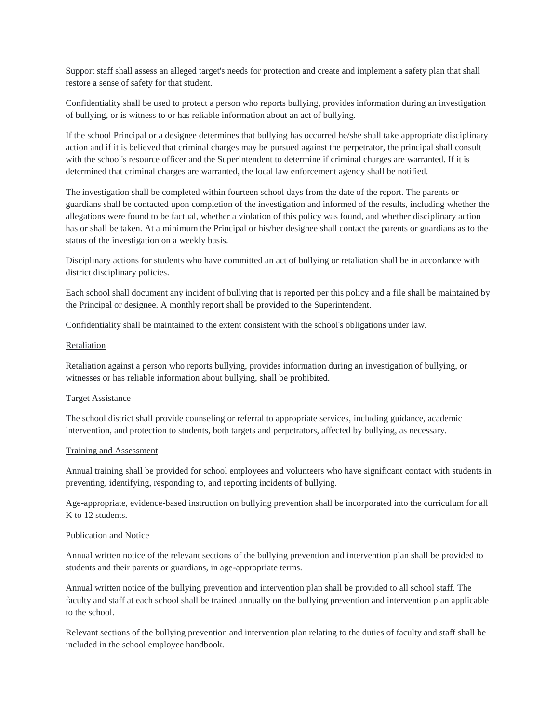Support staff shall assess an alleged target's needs for protection and create and implement a safety plan that shall restore a sense of safety for that student.

Confidentiality shall be used to protect a person who reports bullying, provides information during an investigation of bullying, or is witness to or has reliable information about an act of bullying.

If the school Principal or a designee determines that bullying has occurred he/she shall take appropriate disciplinary action and if it is believed that criminal charges may be pursued against the perpetrator, the principal shall consult with the school's resource officer and the Superintendent to determine if criminal charges are warranted. If it is determined that criminal charges are warranted, the local law enforcement agency shall be notified.

The investigation shall be completed within fourteen school days from the date of the report. The parents or guardians shall be contacted upon completion of the investigation and informed of the results, including whether the allegations were found to be factual, whether a violation of this policy was found, and whether disciplinary action has or shall be taken. At a minimum the Principal or his/her designee shall contact the parents or guardians as to the status of the investigation on a weekly basis.

Disciplinary actions for students who have committed an act of bullying or retaliation shall be in accordance with district disciplinary policies.

Each school shall document any incident of bullying that is reported per this policy and a file shall be maintained by the Principal or designee. A monthly report shall be provided to the Superintendent.

Confidentiality shall be maintained to the extent consistent with the school's obligations under law.

#### Retaliation

Retaliation against a person who reports bullying, provides information during an investigation of bullying, or witnesses or has reliable information about bullying, shall be prohibited.

#### Target Assistance

The school district shall provide counseling or referral to appropriate services, including guidance, academic intervention, and protection to students, both targets and perpetrators, affected by bullying, as necessary.

#### Training and Assessment

Annual training shall be provided for school employees and volunteers who have significant contact with students in preventing, identifying, responding to, and reporting incidents of bullying.

Age-appropriate, evidence-based instruction on bullying prevention shall be incorporated into the curriculum for all K to 12 students.

#### Publication and Notice

Annual written notice of the relevant sections of the bullying prevention and intervention plan shall be provided to students and their parents or guardians, in age-appropriate terms.

Annual written notice of the bullying prevention and intervention plan shall be provided to all school staff. The faculty and staff at each school shall be trained annually on the bullying prevention and intervention plan applicable to the school.

Relevant sections of the bullying prevention and intervention plan relating to the duties of faculty and staff shall be included in the school employee handbook.